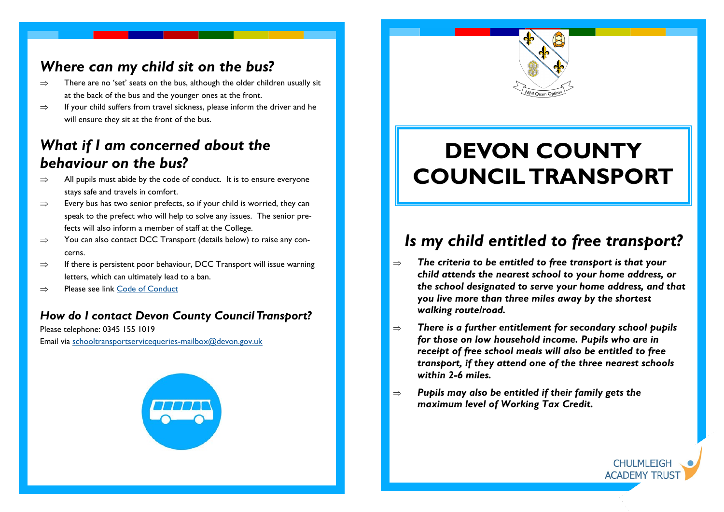#### *Where can my child sit on the bus?*

- $\Rightarrow$  There are no 'set' seats on the bus, although the older children usually sit at the back of the bus and the younger ones at the front.
- $\Rightarrow$  If your child suffers from travel sickness, please inform the driver and he will ensure they sit at the front of the bus.

#### *What if I am concerned about the behaviour on the bus?*

- $\Rightarrow$  All pupils must abide by the code of conduct. It is to ensure everyone stays safe and travels in comfort.
- $\Rightarrow$  Every bus has two senior prefects, so if your child is worried, they can speak to the prefect who will help to solve any issues. The senior prefects will also inform a member of staff at the College.
- $\Rightarrow$  You can also contact DCC Transport (details below) to raise any concerns.
- $\Rightarrow$  If there is persistent poor behaviour, DCC Transport will issue warning letters, which can ultimately lead to a ban.
- $\Rightarrow$  Please see link [Code of Conduct](https://www.devon.gov.uk/educationandfamilies/guide/secondary-school-transport/sec-code-of-conduct)

#### *How do I contact Devon County Council Transport?*

Please telephone: 0345 155 1019 Email via [schooltransportservicequeries-mailbox@devon.gov.uk](mailto:schooltransportservicequeries-mailbox@devon.gov.uk)



# **DEVON COUNTY COUNCIL TRANSPORT**

## *Is my child entitled to free transport?*

- $\Rightarrow$  The criteria to be entitled to free transport is that your *child attends the nearest school to your home address, or the school designated to serve your home address, and that you live more than three miles away by the shortest walking route/road.*
- *There is a further entitlement for secondary school pupils for those on low household income. Pupils who are in receipt of free school meals will also be entitled to free transport, if they attend one of the three nearest schools within 2-6 miles.*

**CHULMI FIGI ACADEMY TRUS** 

 $\Rightarrow$  Pupils may also be entitled if their family gets the *maximum level of Working Tax Credit.*